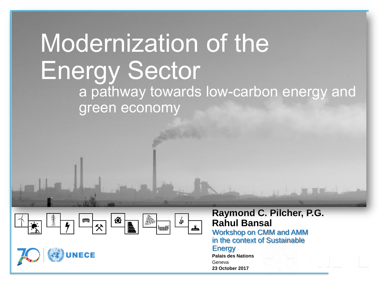# modernization of the Energy Sector Modernization of the Energy Sector a pathway towards low-carbon energy and



**NECE** 

.

**Raymond C. Pilcher, P.G. Rahul Bansal**

Workshop on CMM and AMM in the context of Sustainable

#### **Energy**

**Palais des Nations** Geneva **23 October 2017**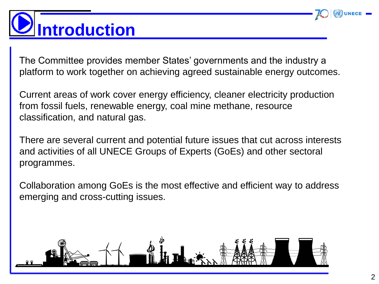

# **Introduction .**

The Committee provides member States' governments and the industry a platform to work together on achieving agreed sustainable energy outcomes.

Current areas of work cover energy efficiency, cleaner electricity production from fossil fuels, renewable energy, coal mine methane, resource classification, and natural gas.

There are several current and potential future issues that cut across interests and activities of all UNECE Groups of Experts (GoEs) and other sectoral programmes.

Collaboration among GoEs is the most effective and efficient way to address emerging and cross-cutting issues.

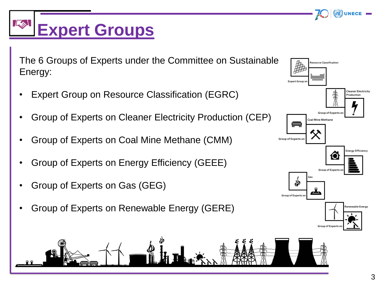### $L_{\infty}$ **Expert Groups.**

The 6 Groups of Experts under the Committee on Sustainable Energy:

- Expert Group on Resource Classification (EGRC)
- Group of Experts on Cleaner Electricity Production (CEP)
- Group of Experts on Coal Mine Methane (CMM)
- Group of Experts on Energy Efficiency (GEEE)
- Group of Experts on Gas (GEG)
- Group of Experts on Renewable Energy (GERE)



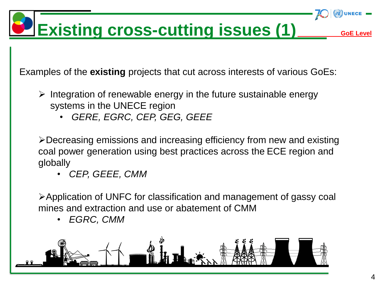

Examples of the **existing** projects that cut across interests of various GoEs:

- $\triangleright$  Integration of renewable energy in the future sustainable energy systems in the UNECE region
	- *GERE, EGRC, CEP, GEG, GEEE*

Decreasing emissions and increasing efficiency from new and existing coal power generation using best practices across the ECE region and globally

• *CEP, GEEE, CMM*

Application of UNFC for classification and management of gassy coal mines and extraction and use or abatement of CMM

• *EGRC, CMM* 

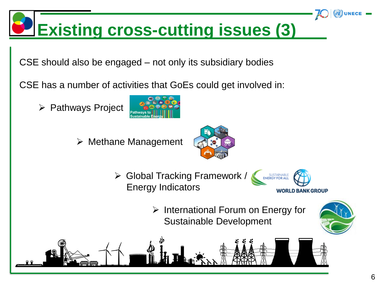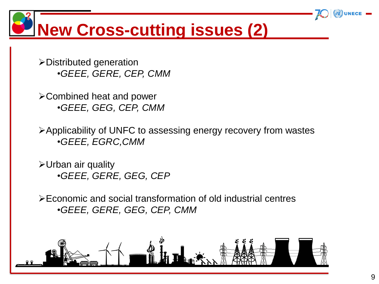**New Cross-cutting issues (2) .**

Distributed generation •*GEEE, GERE, CEP, CMM*

Combined heat and power •*GEEE, GEG, CEP, CMM*

Applicability of UNFC to assessing energy recovery from wastes •*GEEE, EGRC,CMM*

Urban air quality •*GEEE, GERE, GEG, CEP*

Economic and social transformation of old industrial centres •*GEEE, GERE, GEG, CEP, CMM*

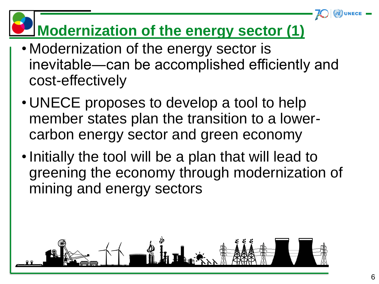### **Modernization of the energy sector (1)**

- Modernization of the energy sector is inevitable―can be accomplished efficiently and cost-effectively
- UNECE proposes to develop a tool to help member states plan the transition to a lowercarbon energy sector and green economy
- •Initially the tool will be a plan that will lead to greening the economy through modernization of mining and energy sectors

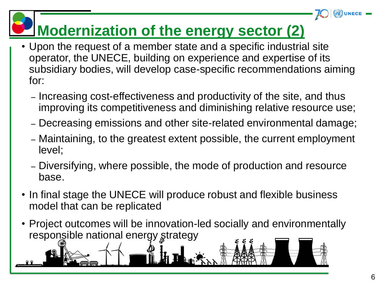## **Modernization of the energy sector (2)**

- Upon the request of a member state and a specific industrial site operator, the UNECE, building on experience and expertise of its subsidiary bodies, will develop case-specific recommendations aiming for:
	- Increasing cost-effectiveness and productivity of the site, and thus improving its competitiveness and diminishing relative resource use;
	- Decreasing emissions and other site-related environmental damage;
	- Maintaining, to the greatest extent possible, the current employment level;
	- Diversifying, where possible, the mode of production and resource base.
- In final stage the UNECE will produce robust and flexible business model that can be replicated
- Project outcomes will be innovation-led socially and environmentally responsible national energy strategy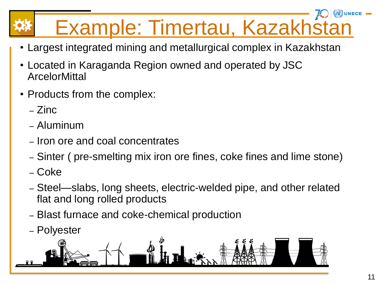# Example: Timertau, Kazakhstan**..**

- Largest integrated mining and metallurgical complex in Kazakhstan
- Located in Karaganda Region owned and operated by JSC **ArcelorMittal**
- Products from the complex:
	- Zinc
	- Aluminum
	- Iron ore and coal concentrates
	- Sinter ( pre-smelting mix iron ore fines, coke fines and lime stone)
	- Coke
	- Steel—slabs, long sheets, electric-welded pipe, and other related flat and long rolled products
	- Blast furnace and coke-chemical production
	- Polyester

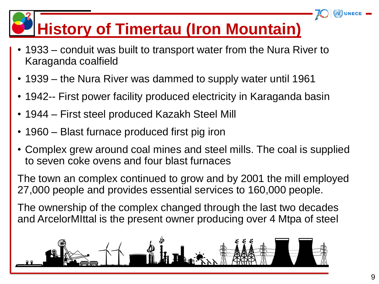## **History of Timertau (Iron Mountain).**

- 1933 conduit was built to transport water from the Nura River to Karaganda coalfield
- 1939 the Nura River was dammed to supply water until 1961
- 1942-- First power facility produced electricity in Karaganda basin
- 1944 First steel produced Kazakh Steel Mill
- 1960 Blast furnace produced first pig iron
- Complex grew around coal mines and steel mills. The coal is supplied to seven coke ovens and four blast furnaces

The town an complex continued to grow and by 2001 the mill employed 27,000 people and provides essential services to 160,000 people.

The ownership of the complex changed through the last two decades and ArcelorMIttal is the present owner producing over 4 Mtpa of steel

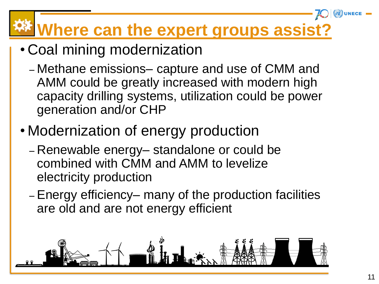# **Where can the expert groups assist?..**

- Coal mining modernization
	- Methane emissions– capture and use of CMM and AMM could be greatly increased with modern high capacity drilling systems, utilization could be power generation and/or CHP
- Modernization of energy production
	- Renewable energy– standalone or could be combined with CMM and AMM to levelize electricity production
	- Energy efficiency– many of the production facilities are old and are not energy efficient

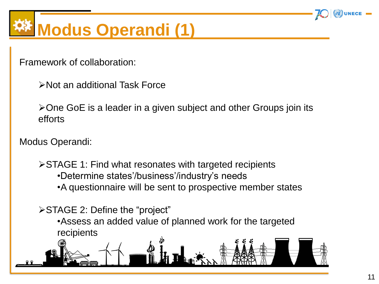

# **Modus Operandi (1) ..**

Framework of collaboration:

Not an additional Task Force

One GoE is a leader in a given subject and other Groups join its efforts

Modus Operandi:

STAGE 1: Find what resonates with targeted recipients •Determine states'/business'/industry's needs •A questionnaire will be sent to prospective member states

STAGE 2: Define the "project" •Assess an added value of planned work for the targeted recipients